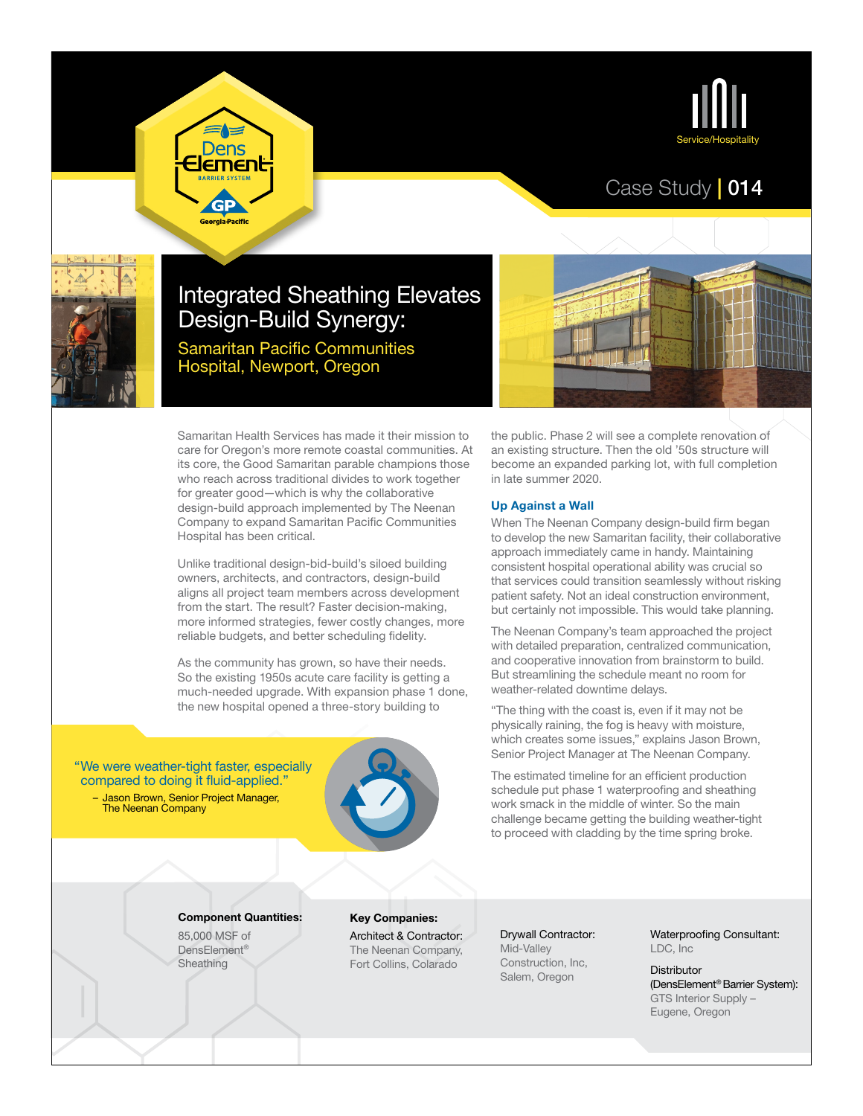

## Case Study | 014



# Integrated Sheathing Elevates Design-Build Synergy:

Samaritan Pacific Communities Hospital, Newport, Oregon

Dens **Emen** 

GP .<br>Georgia Pacific

Samaritan Health Services has made it their mission to care for Oregon's more remote coastal communities. At its core, the Good Samaritan parable champions those who reach across traditional divides to work together for greater good—which is why the collaborative design-build approach implemented by The Neenan Company to expand Samaritan Pacific Communities Hospital has been critical.

Unlike traditional design-bid-build's siloed building owners, architects, and contractors, design-build aligns all project team members across development from the start. The result? Faster decision-making, more informed strategies, fewer costly changes, more reliable budgets, and better scheduling fidelity.

As the community has grown, so have their needs. So the existing 1950s acute care facility is getting a much-needed upgrade. With expansion phase 1 done, the new hospital opened a three-story building to

"We were weather-tight faster, especially compared to doing it fluid-applied."

– Jason Brown, Senior Project Manager, The Neenan Company



### Component Quantities:

85,000 MSF of DensElement® **Sheathing** 

Key Companies:

Architect & Contractor: The Neenan Company, Fort Collins, Colarado

the public. Phase 2 will see a complete renovation of an existing structure. Then the old '50s structure will become an expanded parking lot, with full completion in late summer 2020.

#### Up Against a Wall

When The Neenan Company design-build firm began to develop the new Samaritan facility, their collaborative approach immediately came in handy. Maintaining consistent hospital operational ability was crucial so that services could transition seamlessly without risking patient safety. Not an ideal construction environment, but certainly not impossible. This would take planning.

The Neenan Company's team approached the project with detailed preparation, centralized communication, and cooperative innovation from brainstorm to build. But streamlining the schedule meant no room for weather-related downtime delays.

"The thing with the coast is, even if it may not be physically raining, the fog is heavy with moisture, which creates some issues," explains Jason Brown, Senior Project Manager at The Neenan Company.

The estimated timeline for an efficient production schedule put phase 1 waterproofing and sheathing work smack in the middle of winter. So the main challenge became getting the building weather-tight to proceed with cladding by the time spring broke.

Drywall Contractor: Mid-Valley Construction, Inc, Salem, Oregon

Waterproofing Consultant: LDC, Inc

**Distributor** (DensElement® Barrier System): GTS Interior Supply – Eugene, Oregon